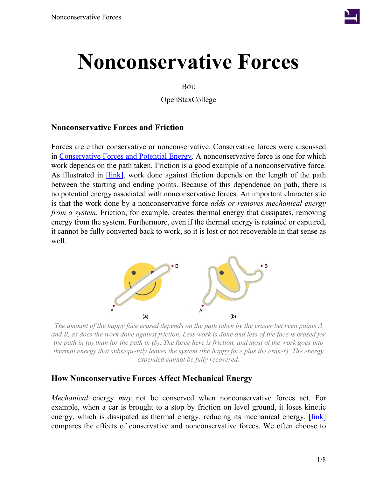

# **Nonconservative Forces**

Bởi:

OpenStaxCollege

## **Nonconservative Forces and Friction**

Forces are either conservative or nonconservative. Conservative forces were discussed in [Conservative](/m42149) Forces and Potential Energy. A nonconservative force is one for which work depends on the path taken. Friction is a good example of a nonconservative force. As illustrated in <u>[link]</u>, work done against friction depends on the length of the path between the starting and ending points. Because of this dependence on path, there is no potential energy associated with nonconservative forces. An important characteristic is that the work done by a nonconservative force *adds or removes mechanical energy from a system*. Friction, for example, creates thermal energy that dissipates, removing energy from the system. Furthermore, even if the thermal energy is retained or captured, it cannot be fully converted back to work, so it is lost or not recoverable in that sense as well.



<span id="page-0-0"></span>*The amount of the happy face erased depends on the path taken by the eraser between points A and B, as does the work done against friction. Less work is done and less of the face is erased for the path in (a) than for the path in (b). The force here is friction, and most of the work goes into thermal energy that subsequently leaves the system (the happy face plus the eraser). The energy expended cannot be fully recovered.*

# **How Nonconservative Forces Affect Mechanical Energy**

*Mechanical* energy *may* not be conserved when nonconservative forces act. For example, when a car is brought to a stop by friction on level ground, it loses kinetic energy, which is dissipated as thermal energy, reducing its mechanical energy. [\[link\]](#page-1-0) compares the effects of conservative and nonconservative forces. We often choose to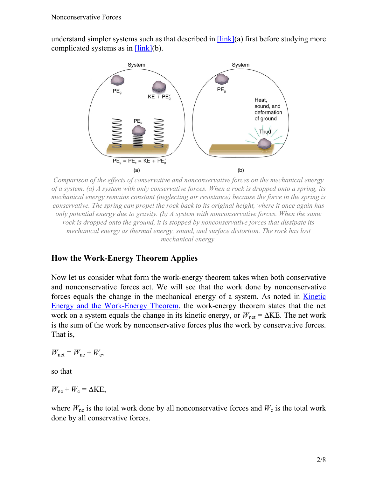<span id="page-1-0"></span>understand simpler systems such as that described in  $[\text{link}](a)$  first before studying more complicated systems as in  $[\text{link}](b)$ .



*Comparison of the effects of conservative and nonconservative forces on the mechanical energy of a system. (a) A system with only conservative forces. When a rock is dropped onto a spring, its mechanical energy remains constant (neglecting air resistance) because the force in the spring is conservative. The spring can propel the rock back to its original height, where it once again has only potential energy due to gravity. (b) A system with nonconservative forces. When the same rock is dropped onto the ground, it is stopped by nonconservative forces that dissipate its mechanical energy as thermal energy, sound, and surface distortion. The rock has lost mechanical energy.*

## **How the Work-Energy Theorem Applies**

Now let us consider what form the work-energy theorem takes when both conservative and nonconservative forces act. We will see that the work done by nonconservative forces equals the change in the mechanical energy of a system. As noted in [Kinetic](/m42147) Energy and the [Work-Energy](/m42147) Theorem, the work-energy theorem states that the net work on a system equals the change in its kinetic energy, or  $W_{\text{net}} = \Delta KE$ . The net work is the sum of the work by nonconservative forces plus the work by conservative forces. That is,

 $W_{\text{net}} = W_{\text{nc}} + W_{\text{c}}$ 

so that

 $W_{\text{nc}} + W_{\text{c}} = \Delta \text{KE}$ ,

where  $W_{\text{nc}}$  is the total work done by all nonconservative forces and  $W_{\text{c}}$  is the total work done by all conservative forces.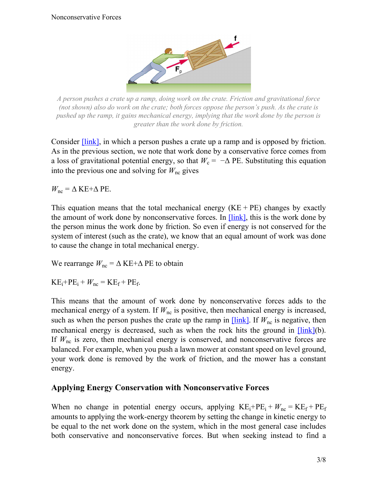<span id="page-2-0"></span>

*A person pushes a crate up a ramp, doing work on the crate. Friction and gravitational force (not shown) also do work on the crate; both forces oppose the person's push. As the crate is pushed up the ramp, it gains mechanical energy, implying that the work done by the person is greater than the work done by friction.*

Consider <u>[\[link\]](#page-2-0)</u>, in which a person pushes a crate up a ramp and is opposed by friction. As in the previous section, we note that work done by a conservative force comes from a loss of gravitational potential energy, so that  $W_c = -\Delta$  PE. Substituting this equation into the previous one and solving for  $W_{\text{nc}}$  gives

 $W_{\text{nc}} = \Delta K E + \Delta PE$ .

This equation means that the total mechanical energy  $(KE + PE)$  changes by exactly the amount of work done by nonconservative forces. In [\[link\],](#page-2-0) this is the work done by the person minus the work done by friction. So even if energy is not conserved for the system of interest (such as the crate), we know that an equal amount of work was done to cause the change in total mechanical energy.

We rearrange  $W_{\text{nc}} = \Delta K E + \Delta PE$  to obtain

 $KE_i+PE_i + W_{nc} = KE_f + PE_f.$ 

This means that the amount of work done by nonconservative forces adds to the mechanical energy of a system. If  $W_{nc}$  is positive, then mechanical energy is increased, such as when the person pushes the crate up the ramp in  $[\text{link}]$ . If  $W_{nc}$  is negative, then mechanical energy is decreased, such as when the rock hits the ground in  $\frac{[\text{link}](b)}{[\text{link}](b)}$ . If  $W_{\text{nc}}$  is zero, then mechanical energy is conserved, and nonconservative forces are balanced. For example, when you push a lawn mower at constant speed on level ground, your work done is removed by the work of friction, and the mower has a constant energy.

## **Applying Energy Conservation with Nonconservative Forces**

When no change in potential energy occurs, applying  $KE_i + PE_i + W_{nc} = KE_f + PE_f$ amounts to applying the work-energy theorem by setting the change in kinetic energy to be equal to the net work done on the system, which in the most general case includes both conservative and nonconservative forces. But when seeking instead to find a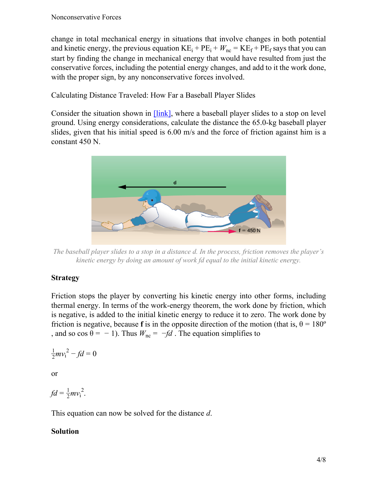change in total mechanical energy in situations that involve changes in both potential and kinetic energy, the previous equation  $KE_i + PE_i + W_{nc} = KE_f + PE_f$  says that you can start by finding the change in mechanical energy that would have resulted from just the conservative forces, including the potential energy changes, and add to it the work done, with the proper sign, by any nonconservative forces involved.

<span id="page-3-1"></span>Calculating Distance Traveled: How Far a Baseball Player Slides

<span id="page-3-0"></span>Consider the situation shown in [\[link\],](#page-3-0) where a baseball player slides to a stop on level ground. Using energy considerations, calculate the distance the 65.0-kg baseball player slides, given that his initial speed is 6.00 m/s and the force of friction against him is a constant 450 N.



*The baseball player slides to a stop in a distance d. In the process, friction removes the player's kinetic energy by doing an amount of work fd equal to the initial kinetic energy.*

# **Strategy**

Friction stops the player by converting his kinetic energy into other forms, including thermal energy. In terms of the work-energy theorem, the work done by friction, which is negative, is added to the initial kinetic energy to reduce it to zero. The work done by friction is negative, because **f** is in the opposite direction of the motion (that is,  $\theta = 180^{\circ}$ ) , and so  $\cos \theta = -1$ ). Thus  $W_{\text{nc}} = -fd$ . The equation simplifies to

$$
\frac{1}{2}mv_i^2 - fd = 0
$$

or

$$
fd=\frac{1}{2}mv_i^2.
$$

This equation can now be solved for the distance *d*.

## **Solution**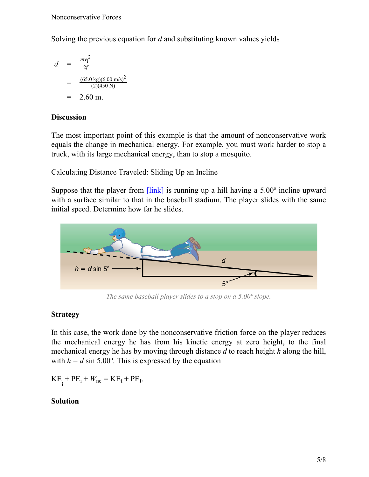Solving the previous equation for *d* and substituting known values yields

$$
d = \frac{mv_i^2}{2f}
$$
  
= 
$$
\frac{(65.0 \text{ kg})(6.00 \text{ m/s})^2}{(2)(450 \text{ N})}
$$
  
= 2.60 m.

## **Discussion**

The most important point of this example is that the amount of nonconservative work equals the change in mechanical energy. For example, you must work harder to stop a truck, with its large mechanical energy, than to stop a mosquito.

Calculating Distance Traveled: Sliding Up an Incline

Suppose that the player from  $\boxed{\text{link}}$  is running up a hill having a 5.00 $\degree$  incline upward with a surface similar to that in the baseball stadium. The player slides with the same initial speed. Determine how far he slides.



*The same baseball player slides to a stop on a 5.00º slope.*

# **Strategy**

In this case, the work done by the nonconservative friction force on the player reduces the mechanical energy he has from his kinetic energy at zero height, to the final mechanical energy he has by moving through distance *d* to reach height *h* along the hill, with  $h = d \sin 5.00^\circ$ . This is expressed by the equation

 $KE_i + PE_i + W_{nc} = KE_f + PE_f.$ 

## **Solution**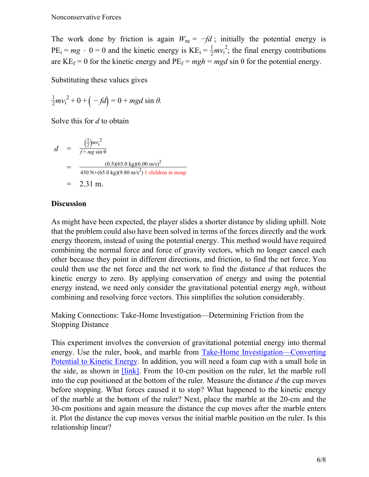The work done by friction is again  $W_{nc} = -fd$ ; initially the potential energy is  $PE_i = mg \cdot 0 = 0$  and the kinetic energy is  $KE_i = \frac{1}{2}mv_i^2$ ; the final energy contributions are KE<sub>f</sub> = 0 for the kinetic energy and PE<sub>f</sub> =  $mgh = mgd \sin \theta$  for the potential energy.

Substituting these values gives

$$
\frac{1}{2}mv_i^2 + 0 + (-fd) = 0 + mgd \sin \theta.
$$

Solve this for *d* to obtain

$$
d = \frac{\left(\frac{1}{2}\right)mv_i^2}{f + mg \sin \theta}
$$
  
= 
$$
\frac{(0.5)(65.0 \text{ kg})(6.00 \text{ m/s})^2}{450 \text{ N} + (65.0 \text{ kg})(9.80 \text{ m/s}^2) \text{ 1 children in msup}}
$$
  
= 2.31 m.

## **Discussion**

As might have been expected, the player slides a shorter distance by sliding uphill. Note that the problem could also have been solved in terms of the forces directly and the work energy theorem, instead of using the potential energy. This method would have required combining the normal force and force of gravity vectors, which no longer cancel each other because they point in different directions, and friction, to find the net force. You could then use the net force and the net work to find the distance *d* that reduces the kinetic energy to zero. By applying conservation of energy and using the potential energy instead, we need only consider the gravitational potential energy *mgh*, without combining and resolving force vectors. This simplifies the solution considerably.

Making Connections: Take-Home Investigation—Determining Friction from the Stopping Distance

This experiment involves the conversion of gravitational potential energy into thermal energy. Use the ruler, book, and marble from Take-Home [Investigation—Converting](/m42148#fs-id1804087) [Potential](/m42148#fs-id1804087) to Kinetic Energy. In addition, you will need a foam cup with a small hole in the side, as shown in [\[link\].](#page-6-0) From the 10-cm position on the ruler, let the marble roll into the cup positioned at the bottom of the ruler. Measure the distance *d* the cup moves before stopping. What forces caused it to stop? What happened to the kinetic energy of the marble at the bottom of the ruler? Next, place the marble at the 20-cm and the 30-cm positions and again measure the distance the cup moves after the marble enters it. Plot the distance the cup moves versus the initial marble position on the ruler. Is this relationship linear?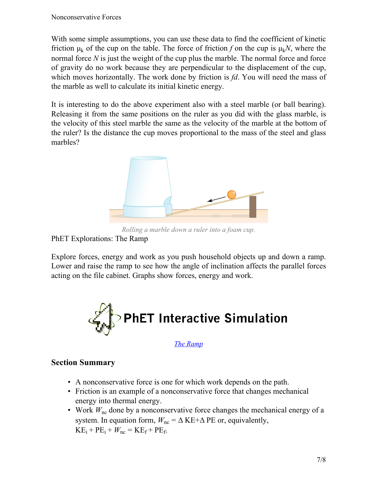With some simple assumptions, you can use these data to find the coefficient of kinetic friction  $\mu_k$  of the cup on the table. The force of friction *f* on the cup is  $\mu_k N$ , where the normal force *N* is just the weight of the cup plus the marble. The normal force and force of gravity do no work because they are perpendicular to the displacement of the cup, which moves horizontally. The work done by friction is *fd*. You will need the mass of the marble as well to calculate its initial kinetic energy.

<span id="page-6-0"></span>It is interesting to do the above experiment also with a steel marble (or ball bearing). Releasing it from the same positions on the ruler as you did with the glass marble, is the velocity of this steel marble the same as the velocity of the marble at the bottom of the ruler? Is the distance the cup moves proportional to the mass of the steel and glass marbles?



*Rolling a marble down a ruler into a foam cup.*

PhET Explorations: The Ramp

Explore forces, energy and work as you push household objects up and down a ramp. Lower and raise the ramp to see how the angle of inclination affects the parallel forces acting on the file cabinet. Graphs show forces, energy and work.



#### *[The Ramp](/home/voer/vp/vp.transformer/src/vpt.transformer/vpt/transformer/transforms/20140124-034429-8a7a0a56-1/the-ramp_en.jar)*

#### **Section Summary**

- A nonconservative force is one for which work depends on the path.
- Friction is an example of a nonconservative force that changes mechanical energy into thermal energy.
- Work  $W_{\text{nc}}$  done by a nonconservative force changes the mechanical energy of a system. In equation form,  $W_{\text{nc}} = \Delta K E + \Delta PE$  or, equivalently,  $KE_i + PE_i + W_{nc} = KE_f + PE_f.$